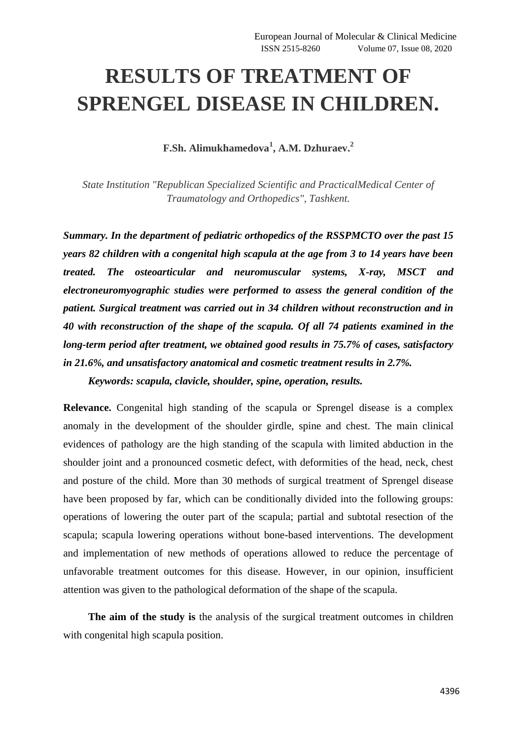## **RESULTS OF TREATMENT OF SPRENGEL DISEASE IN CHILDREN.**

**F.Sh. Alimukhamedova<sup>1</sup> , A.M. Dzhuraev. 2**

*State Institution "Republican Specialized Scientific and PracticalMedical Center of Traumatology and Orthopedics", Tashkent.*

*Summary. In the department of pediatric orthopedics of the RSSPMCTO over the past 15 years 82 children with a congenital high scapula at the age from 3 to 14 years have been treated. The osteoarticular and neuromuscular systems, X-ray, MSCT and electroneuromyographic studies were performed to assess the general condition of the patient. Surgical treatment was carried out in 34 children without reconstruction and in 40 with reconstruction of the shape of the scapula. Of all 74 patients examined in the long-term period after treatment, we obtained good results in 75.7% of cases, satisfactory in 21.6%, and unsatisfactory anatomical and cosmetic treatment results in 2.7%.*

*Keywords: scapula, clavicle, shoulder, spine, operation, results.*

**Relevance.** Congenital high standing of the scapula or Sprengel disease is a complex anomaly in the development of the shoulder girdle, spine and chest. The main clinical evidences of pathology are the high standing of the scapula with limited abduction in the shoulder joint and a pronounced cosmetic defect, with deformities of the head, neck, chest and posture of the child. More than 30 methods of surgical treatment of Sprengel disease have been proposed by far, which can be conditionally divided into the following groups: operations of lowering the outer part of the scapula; partial and subtotal resection of the scapula; scapula lowering operations without bone-based interventions. The development and implementation of new methods of operations allowed to reduce the percentage of unfavorable treatment outcomes for this disease. However, in our opinion, insufficient attention was given to the pathological deformation of the shape of the scapula.

**The aim of the study is** the analysis of the surgical treatment outcomes in children with congenital high scapula position.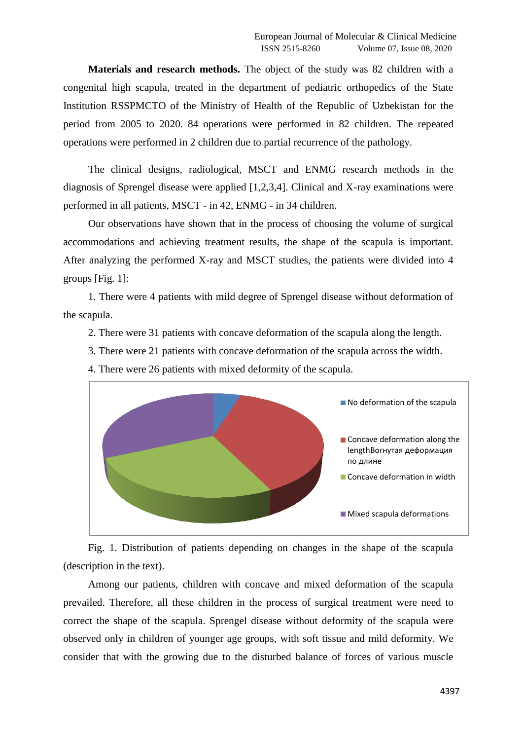**Materials and research methods.** The object of the study was 82 children with a congenital high scapula, treated in the department of pediatric orthopedics of the State Institution RSSPMCTO of the Ministry of Health of the Republic of Uzbekistan for the period from 2005 to 2020. 84 operations were performed in 82 children. The repeated operations were performed in 2 children due to partial recurrence of the pathology.

The clinical designs, radiological, MSCT and ENMG research methods in the diagnosis of Sprengel disease were applied [1,2,3,4]. Clinical and X-ray examinations were performed in all patients, MSCT - in 42, ENMG - in 34 children.

Our observations have shown that in the process of choosing the volume of surgical accommodations and achieving treatment results, the shape of the scapula is important. After analyzing the performed X-ray and MSCT studies, the patients were divided into 4 groups [Fig. 1]:

1. There were 4 patients with mild degree of Sprengel disease without deformation of the scapula.

- 2. There were 31 patients with concave deformation of the scapula along the length.
- 3. There were 21 patients with concave deformation of the scapula across the width.
- 4. There were 26 patients with mixed deformity of the scapula.



Fig. 1. Distribution of patients depending on changes in the shape of the scapula (description in the text).

Among our patients, children with concave and mixed deformation of the scapula prevailed. Therefore, all these children in the process of surgical treatment were need to correct the shape of the scapula. Sprengel disease without deformity of the scapula were observed only in children of younger age groups, with soft tissue and mild deformity. We consider that with the growing due to the disturbed balance of forces of various muscle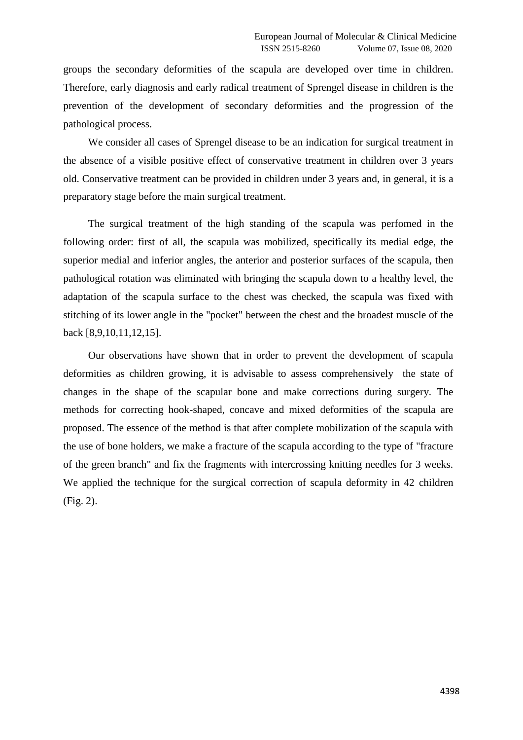groups the secondary deformities of the scapula are developed over time in children. Therefore, early diagnosis and early radical treatment of Sprengel disease in children is the prevention of the development of secondary deformities and the progression of the pathological process.

We consider all cases of Sprengel disease to be an indication for surgical treatment in the absence of a visible positive effect of conservative treatment in children over 3 years old. Conservative treatment can be provided in children under 3 years and, in general, it is a preparatory stage before the main surgical treatment.

The surgical treatment of the high standing of the scapula was perfomed in the following order: first of all, the scapula was mobilized, specifically its medial edge, the superior medial and inferior angles, the anterior and posterior surfaces of the scapula, then pathological rotation was eliminated with bringing the scapula down to a healthy level, the adaptation of the scapula surface to the chest was checked, the scapula was fixed with stitching of its lower angle in the "pocket" between the chest and the broadest muscle of the back [8,9,10,11,12,15].

Our observations have shown that in order to prevent the development of scapula deformities as children growing, it is advisable to assess comprehensively the state of changes in the shape of the scapular bone and make corrections during surgery. The methods for correcting hook-shaped, concave and mixed deformities of the scapula are proposed. The essence of the method is that after complete mobilization of the scapula with the use of bone holders, we make a fracture of the scapula according to the type of "fracture of the green branch" and fix the fragments with intercrossing knitting needles for 3 weeks. We applied the technique for the surgical correction of scapula deformity in 42 children (Fig. 2).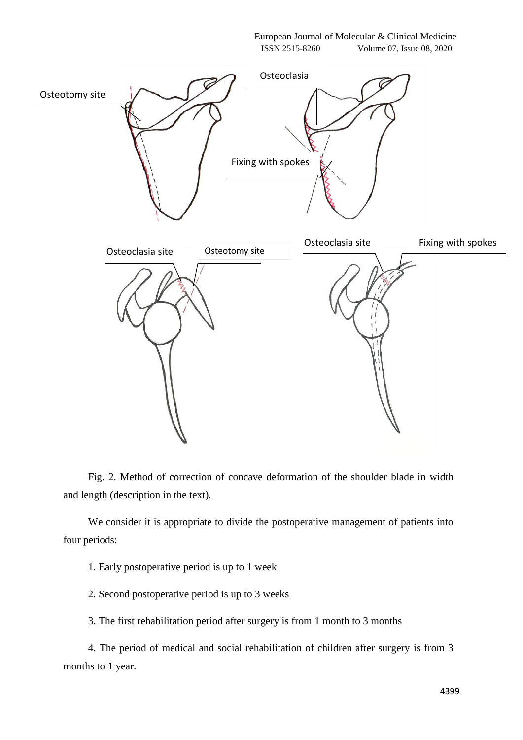European Journal of Molecular & Clinical Medicine ISSN 2515-8260 Volume 07, Issue 08, 2020



Fig. 2. Method of correction of concave deformation of the shoulder blade in width and length (description in the text).

We consider it is appropriate to divide the postoperative management of patients into four periods:

1. Early postoperative period is up to 1 week

2. Second postoperative period is up to 3 weeks

3. The first rehabilitation period after surgery is from 1 month to 3 months

4. The period of medical and social rehabilitation of children after surgery is from 3 months to 1 year.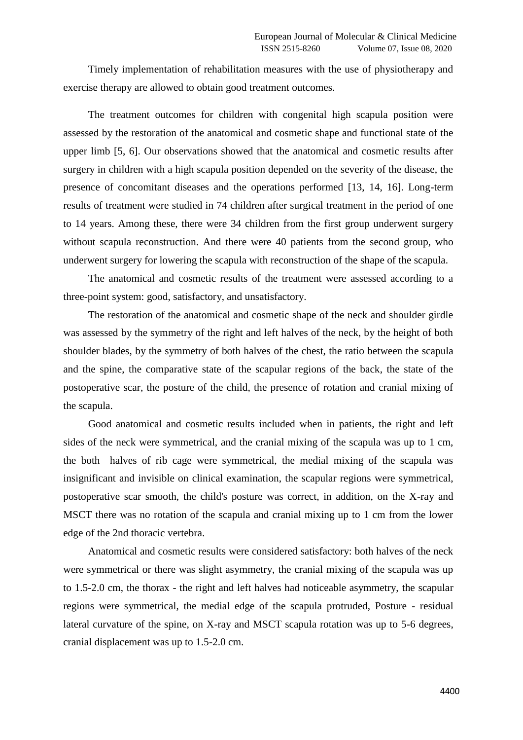Timely implementation of rehabilitation measures with the use of physiotherapy and exercise therapy are allowed to obtain good treatment outcomes.

The treatment outcomes for children with congenital high scapula position were assessed by the restoration of the anatomical and cosmetic shape and functional state of the upper limb [5, 6]. Our observations showed that the anatomical and cosmetic results after surgery in children with a high scapula position depended on the severity of the disease, the presence of concomitant diseases and the operations performed [13, 14, 16]. Long-term results of treatment were studied in 74 children after surgical treatment in the period of one to 14 years. Among these, there were 34 children from the first group underwent surgery without scapula reconstruction. And there were 40 patients from the second group, who underwent surgery for lowering the scapula with reconstruction of the shape of the scapula.

The anatomical and cosmetic results of the treatment were assessed according to a three-point system: good, satisfactory, and unsatisfactory.

The restoration of the anatomical and cosmetic shape of the neck and shoulder girdle was assessed by the symmetry of the right and left halves of the neck, by the height of both shoulder blades, by the symmetry of both halves of the chest, the ratio between the scapula and the spine, the comparative state of the scapular regions of the back, the state of the postoperative scar, the posture of the child, the presence of rotation and cranial mixing of the scapula.

Good anatomical and cosmetic results included when in patients, the right and left sides of the neck were symmetrical, and the cranial mixing of the scapula was up to 1 cm, the both halves of rib cage were symmetrical, the medial mixing of the scapula was insignificant and invisible on clinical examination, the scapular regions were symmetrical, postoperative scar smooth, the child's posture was correct, in addition, on the X-ray and MSCT there was no rotation of the scapula and cranial mixing up to 1 cm from the lower edge of the 2nd thoracic vertebra.

Anatomical and cosmetic results were considered satisfactory: both halves of the neck were symmetrical or there was slight asymmetry, the cranial mixing of the scapula was up to 1.5-2.0 cm, the thorax - the right and left halves had noticeable asymmetry, the scapular regions were symmetrical, the medial edge of the scapula protruded, Posture - residual lateral curvature of the spine, on X-ray and MSCT scapula rotation was up to 5-6 degrees, cranial displacement was up to 1.5-2.0 cm.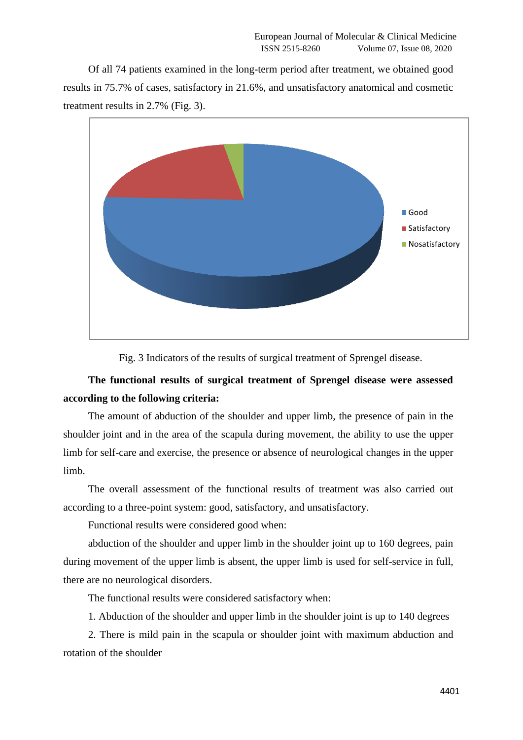Of all 74 patients examined in the long-term period after treatment, we obtained good results in 75.7% of cases, satisfactory in 21.6%, and unsatisfactory anatomical and cosmetic treatment results in 2.7% (Fig. 3).



Fig. 3 Indicators of the results of surgical treatment of Sprengel disease.

## **The functional results of surgical treatment of Sprengel disease were assessed according to the following criteria:**

The amount of abduction of the shoulder and upper limb, the presence of pain in the shoulder joint and in the area of the scapula during movement, the ability to use the upper limb for self-care and exercise, the presence or absence of neurological changes in the upper limb.

The overall assessment of the functional results of treatment was also carried out according to a three-point system: good, satisfactory, and unsatisfactory.

Functional results were considered good when:

abduction of the shoulder and upper limb in the shoulder joint up to 160 degrees, pain during movement of the upper limb is absent, the upper limb is used for self-service in full, there are no neurological disorders.

The functional results were considered satisfactory when:

1. Abduction of the shoulder and upper limb in the shoulder joint is up to 140 degrees

2. There is mild pain in the scapula or shoulder joint with maximum abduction and rotation of the shoulder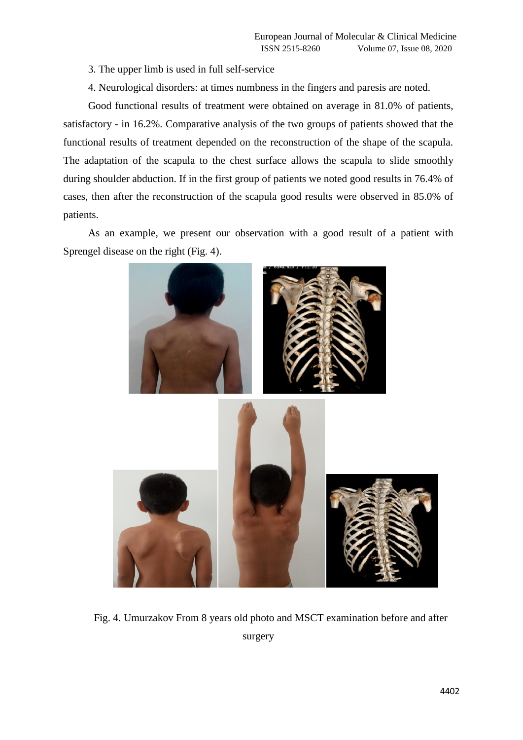3. The upper limb is used in full self-service

4. Neurological disorders: at times numbness in the fingers and paresis are noted.

Good functional results of treatment were obtained on average in 81.0% of patients, satisfactory - in 16.2%. Comparative analysis of the two groups of patients showed that the functional results of treatment depended on the reconstruction of the shape of the scapula. The adaptation of the scapula to the chest surface allows the scapula to slide smoothly during shoulder abduction. If in the first group of patients we noted good results in 76.4% of cases, then after the reconstruction of the scapula good results were observed in 85.0% of patients.

As an example, we present our observation with a good result of a patient with Sprengel disease on the right (Fig. 4).



Fig. 4. Umurzakov From 8 years old photo and MSCT examination before and after surgery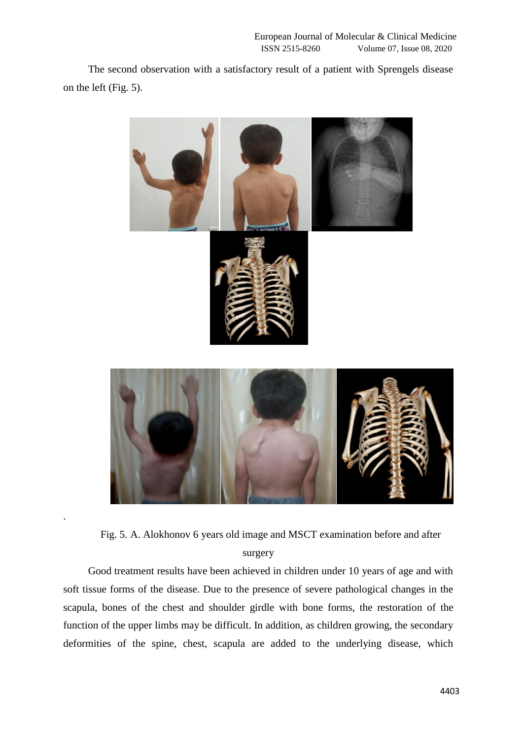The second observation with a satisfactory result of a patient with Sprengels disease on the left (Fig. 5).



Fig. 5. A. Alokhonov 6 years old image and MSCT examination before and after surgery

.

Good treatment results have been achieved in children under 10 years of age and with soft tissue forms of the disease. Due to the presence of severe pathological changes in the scapula, bones of the chest and shoulder girdle with bone forms, the restoration of the function of the upper limbs may be difficult. In addition, as children growing, the secondary deformities of the spine, chest, scapula are added to the underlying disease, which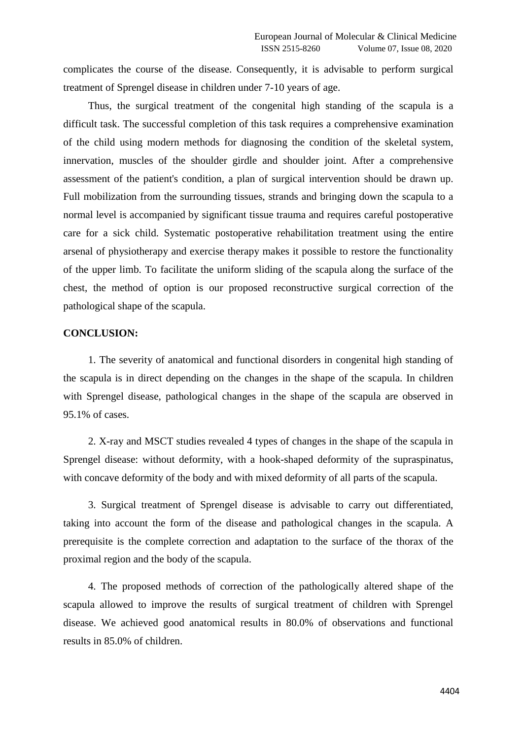complicates the course of the disease. Consequently, it is advisable to perform surgical treatment of Sprengel disease in children under 7-10 years of age.

Thus, the surgical treatment of the congenital high standing of the scapula is a difficult task. The successful completion of this task requires a comprehensive examination of the child using modern methods for diagnosing the condition of the skeletal system, innervation, muscles of the shoulder girdle and shoulder joint. After a comprehensive assessment of the patient's condition, a plan of surgical intervention should be drawn up. Full mobilization from the surrounding tissues, strands and bringing down the scapula to a normal level is accompanied by significant tissue trauma and requires careful postoperative care for a sick child. Systematic postoperative rehabilitation treatment using the entire arsenal of physiotherapy and exercise therapy makes it possible to restore the functionality of the upper limb. To facilitate the uniform sliding of the scapula along the surface of the chest, the method of option is our proposed reconstructive surgical correction of the pathological shape of the scapula.

## **CONCLUSION:**

1. The severity of anatomical and functional disorders in congenital high standing of the scapula is in direct depending on the changes in the shape of the scapula. In children with Sprengel disease, pathological changes in the shape of the scapula are observed in 95.1% of cases.

2. X-ray and MSCT studies revealed 4 types of changes in the shape of the scapula in Sprengel disease: without deformity, with a hook-shaped deformity of the supraspinatus, with concave deformity of the body and with mixed deformity of all parts of the scapula.

3. Surgical treatment of Sprengel disease is advisable to carry out differentiated, taking into account the form of the disease and pathological changes in the scapula. A prerequisite is the complete correction and adaptation to the surface of the thorax of the proximal region and the body of the scapula.

4. The proposed methods of correction of the pathologically altered shape of the scapula allowed to improve the results of surgical treatment of children with Sprengel disease. We achieved good anatomical results in 80.0% of observations and functional results in 85.0% of children.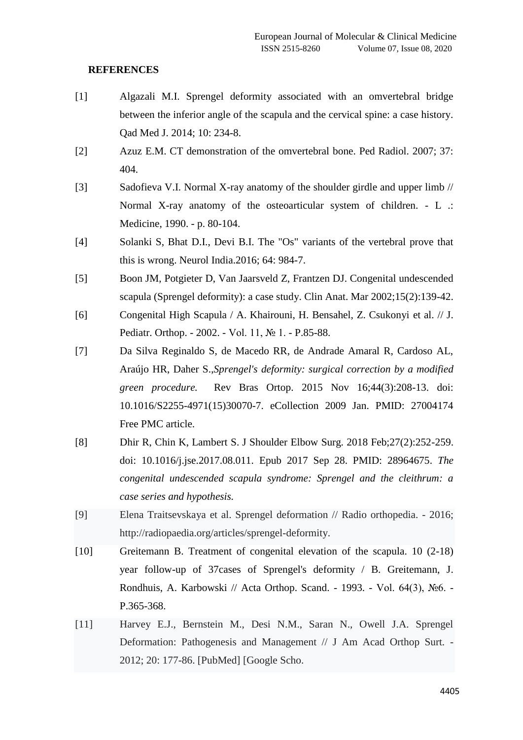## **REFERENCES**

- [1] Algazali M.I. Sprengel deformity associated with an omvertebral bridge between the inferior angle of the scapula and the cervical spine: a case history. Qad Med J. 2014; 10: 234-8.
- [2] Azuz E.M. CT demonstration of the omvertebral bone. Ped Radiol. 2007; 37: 404.
- [3] Sadofieva V.I. Normal X-ray anatomy of the shoulder girdle and upper limb // Normal X-ray anatomy of the osteoarticular system of children. - L .: Medicine, 1990. - p. 80-104.
- [4] Solanki S, Bhat D.I., Devi B.I. The "Os" variants of the vertebral prove that this is wrong. Neurol India.2016; 64: 984-7.
- [5] Boon JM, Potgieter D, Van Jaarsveld Z, Frantzen DJ. Congenital undescended scapula (Sprengel deformity): a case study. Clin Anat. Mar 2002;15(2):139-42.
- [6] Congenital High Scapula / A. Khairouni, H. Bensahel, Z. Csukonyi et al. // J. Pediatr. Orthop. - 2002. - Vol. 11, № 1. - P.85-88.
- [7] Da Silva Reginaldo S, de Macedo RR, de Andrade Amaral R, Cardoso AL, Araújo HR, Daher S.,*[Sprengel's deformity: surgical correction by a modified](https://pubmed.ncbi.nlm.nih.gov/27004174/)  [green procedure.](https://pubmed.ncbi.nlm.nih.gov/27004174/)* Rev Bras Ortop. 2015 Nov 16;44(3):208-13. doi: 10.1016/S2255-4971(15)30070-7. eCollection 2009 Jan. PMID: 27004174 Free PMC article.
- [8] Dhir R, Chin K, Lambert S. J Shoulder Elbow Surg. 2018 Feb;27(2):252-259. doi: 10.1016/j.jse.2017.08.011. Epub 2017 Sep 28. PMID: 28964675. *[The](https://pubmed.ncbi.nlm.nih.gov/28964675/)  [congenital undescended scapula syndrome: Sprengel and the cleithrum: a](https://pubmed.ncbi.nlm.nih.gov/28964675/)  [case series and hypothesis.](https://pubmed.ncbi.nlm.nih.gov/28964675/)*
- [9] Elena Traitsevskaya et al. Sprengel deformation // Radio orthopedia. 2016; http://radiopaedia.org/articles/sprengel-deformity.
- [10] Greitemann B. Treatment of congenital elevation of the scapula. 10 (2-18) year follow-up of 37cases of Sprengel's deformity / B. Greitemann, J. Rondhuis, A. Karbowski // Acta Orthop. Scand. - 1993. - Vol. 64(3), №6. - P.365-368.
- [11] Harvey E.J., Bernstein M., Desi N.M., Saran N., Owell J.A. Sprengel Deformation: Pathogenesis and Management // J Am Acad Orthop Surt. - 2012; 20: 177-86. [PubMed] [Google Scho.